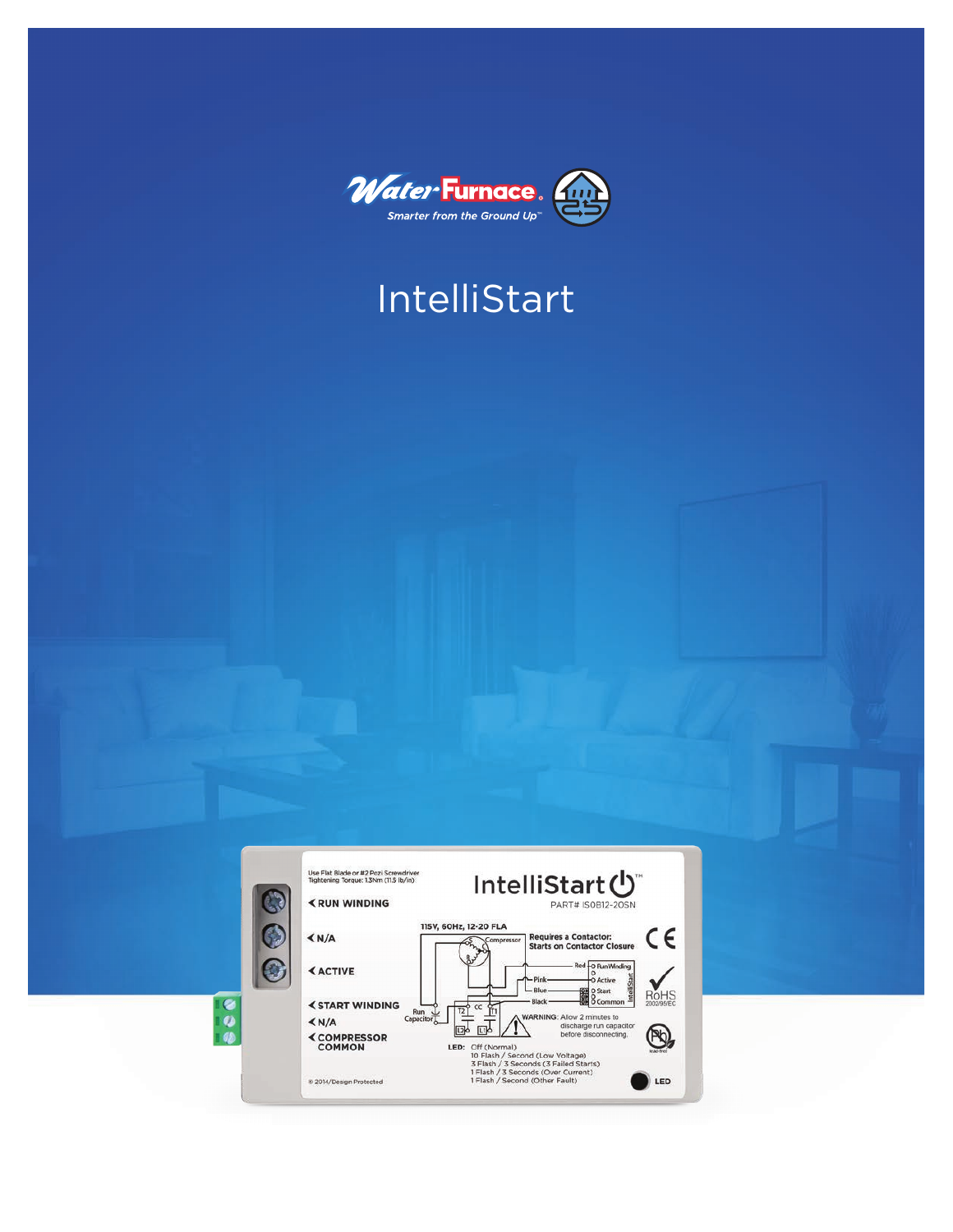

# IntelliStart